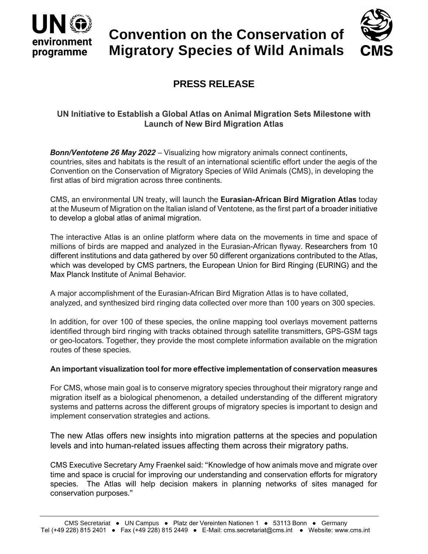

# **Convention on the Conservation of Migratory Species of Wild Animals**



## **PRESS RELEASE**

### **UN Initiative to Establish a Global Atlas on Animal Migration Sets Milestone with Launch of New Bird Migration Atlas**

*Bonn/Ventotene 26 May 2022* – Visualizing how migratory animals connect continents, countries, sites and habitats is the result of an international scientific effort under the aegis of the Convention on the Conservation of Migratory Species of Wild Animals (CMS), in developing the first atlas of bird migration across three continents.

CMS, an environmental UN treaty, will launch the **Eurasian-African Bird Migration Atlas** today at the Museum of Migration on the Italian island of Ventotene, as the first part of a broader initiative to develop a global atlas of animal migration.

The interactive Atlas is an online platform where data on the movements in time and space of millions of birds are mapped and analyzed in the Eurasian-African flyway. Researchers from 10 different institutions and data gathered by over 50 different organizations contributed to the Atlas, which was developed by CMS partners, the European Union for Bird Ringing (EURING) and the Max Planck Institute of Animal Behavior*.*

A major accomplishment of the Eurasian-African Bird Migration Atlas is to have collated, analyzed, and synthesized bird ringing data collected over more than 100 years on 300 species.

In addition, for over 100 of these species, the online mapping tool overlays movement patterns identified through bird ringing with tracks obtained through satellite transmitters, GPS-GSM tags or geo-locators. Together, they provide the most complete information available on the migration routes of these species.

#### **An important visualization tool for more effective implementation of conservation measures**

For CMS, whose main goal is to conserve migratory species throughout their migratory range and migration itself as a biological phenomenon, a detailed understanding of the different migratory systems and patterns across the different groups of migratory species is important to design and implement conservation strategies and actions.

The new Atlas offers new insights into migration patterns at the species and population levels and into human-related issues affecting them across their migratory paths.

CMS Executive Secretary Amy Fraenkel said: "Knowledge of how animals move and migrate over time and space is crucial for improving our understanding and conservation efforts for migratory species. The Atlas will help decision makers in planning networks of sites managed for conservation purposes."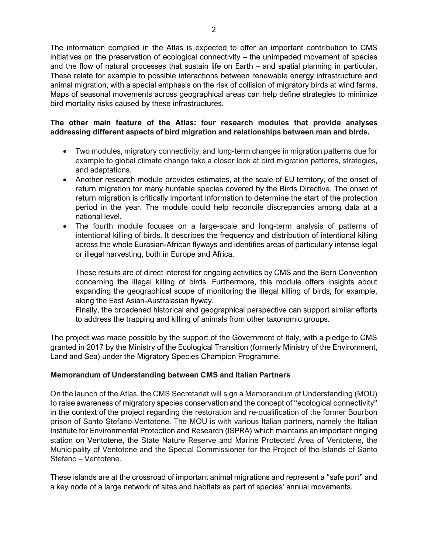The information compiled in the Atlas is expected to offer an important contribution to CMS initiatives on the preservation of ecological connectivity – the unimpeded movement of species and the flow of natural processes that sustain life on Earth – and spatial planning in particular. These relate for example to possible interactions between renewable energy infrastructure and animal migration, with a special emphasis on the risk of collision of migratory birds at wind farms. Maps of seasonal movements across geographical areas can help define strategies to minimize bird mortality risks caused by these infrastructures.

#### **The other main feature of the Atlas: four research modules that provide analyses addressing different aspects of bird migration and relationships between man and birds.**

- Two modules, migratory connectivity, and long-term changes in migration patterns due for example to global climate change take a closer look at bird migration patterns, strategies, and adaptations.
- Another research module provides estimates, at the scale of EU territory, of the onset of return migration for many huntable species covered by the Birds Directive. The onset of return migration is critically important information to determine the start of the protection period in the year. The module could help reconcile discrepancies among data at a national level.
- The fourth module focuses on a large-scale and long-term analysis of patterns of intentional killing of birds. It describes the frequency and distribution of intentional killing across the whole Eurasian-African flyways and identifies areas of particularly intense legal or illegal harvesting, both in Europe and Africa.

These results are of direct interest for ongoing activities by CMS and the Bern Convention concerning the illegal killing of birds. Furthermore, this module offers insights about expanding the geographical scope of monitoring the illegal killing of birds, for example, along the East Asian-Australasian flyway.

Finally, the broadened historical and geographical perspective can support similar efforts to address the trapping and killing of animals from other taxonomic groups.

The project was made possible by the support of the Government of Italy, with a pledge to CMS granted in 2017 by the Ministry of the Ecological Transition (formerly Ministry of the Environment, Land and Sea) under the Migratory Species Champion Programme.

#### **Memorandum of Understanding between CMS and Italian Partners**

On the launch of the Atlas, the CMS Secretariat will sign a Memorandum of Understanding (MOU) to raise awareness of migratory species conservation and the concept of "ecological connectivity" in the context of the project regarding the restoration and re-qualification of the former Bourbon prison of Santo Stefano-Ventotene. The MOU is with various Italian partners, namely the Italian Institute for Environmental Protection and Research (ISPRA) which maintains an important ringing station on Ventotene, the State Nature Reserve and Marine Protected Area of Ventotene, the Municipality of Ventotene and the Special Commissioner for the Project of the Islands of Santo Stefano – Ventotene.

These islands are at the crossroad of important animal migrations and represent a "safe port" and a key node of a large network of sites and habitats as part of species' annual movements.